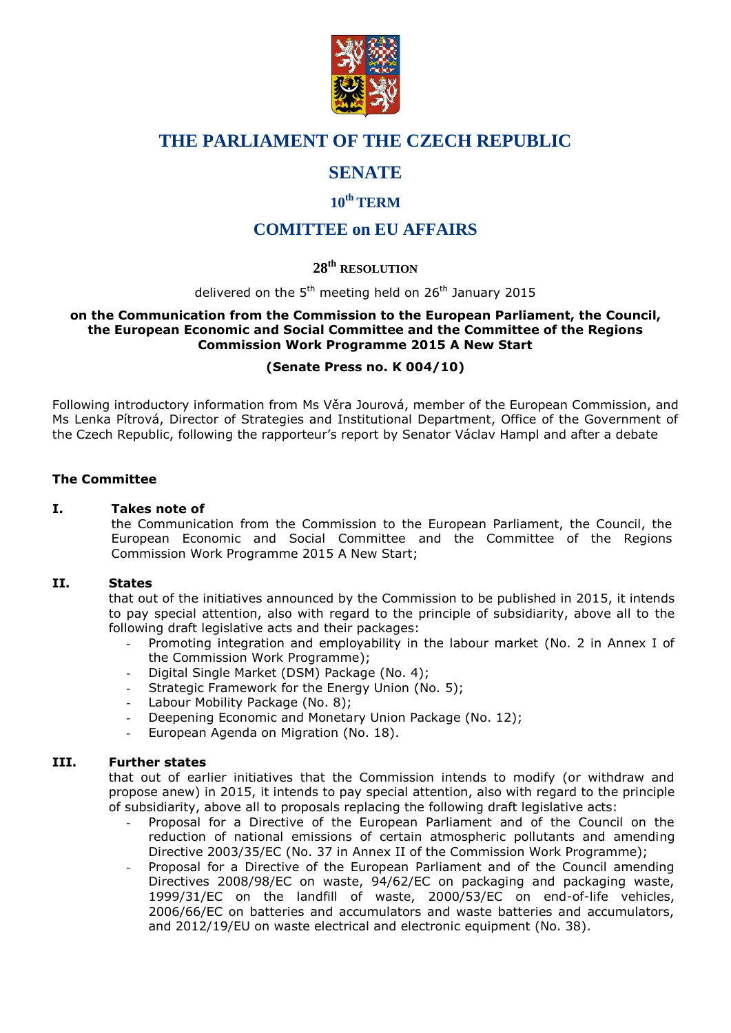

# **THE PARLIAMENT OF THE CZECH REPUBLIC**

# **SENATE**

## **10th TERM**

# **COMITTEE on EU AFFAIRS**

## **28 th RESOLUTION**

delivered on the 5<sup>th</sup> meeting held on 26<sup>th</sup> January 2015

#### **on the Communication from the Commission to the European Parliament, the Council, the European Economic and Social Committee and the Committee of the Regions Commission Work Programme 2015 A New Start**

### **(Senate Press no. K 004/10)**

Following introductory information from Ms Věra Jourová, member of the European Commission, and Ms Lenka Pítrová, Director of Strategies and Institutional Department, Office of the Government of the Czech Republic, following the rapporteur's report by Senator Václav Hampl and after a debate

### **The Committee**

### **I. Takes note of**

the Communication from the Commission to the European Parliament, the Council, the European Economic and Social Committee and the Committee of the Regions Commission Work Programme 2015 A New Start;

#### **II. States**

that out of the initiatives announced by the Commission to be published in 2015, it intends to pay special attention, also with regard to the principle of subsidiarity, above all to the following draft legislative acts and their packages:

- Promoting integration and employability in the labour market (No. 2 in Annex I of the Commission Work Programme);
- Digital Single Market (DSM) Package (No. 4);
- Strategic Framework for the Energy Union (No. 5);
- Labour Mobility Package (No. 8);
- Deepening Economic and Monetary Union Package (No. 12);
- European Agenda on Migration (No. 18).

#### **III. Further states**

that out of earlier initiatives that the Commission intends to modify (or withdraw and propose anew) in 2015, it intends to pay special attention, also with regard to the principle of subsidiarity, above all to proposals replacing the following draft legislative acts:

- Proposal for a Directive of the European Parliament and of the Council on the reduction of national emissions of certain atmospheric pollutants and amending Directive 2003/35/EC (No. 37 in Annex II of the Commission Work Programme);
- Proposal for a Directive of the European Parliament and of the Council amending Directives 2008/98/EC on waste, 94/62/EC on packaging and packaging waste, 1999/31/EC on the landfill of waste, 2000/53/EC on end-of-life vehicles, 2006/66/EC on batteries and accumulators and waste batteries and accumulators, and 2012/19/EU on waste electrical and electronic equipment (No. 38).